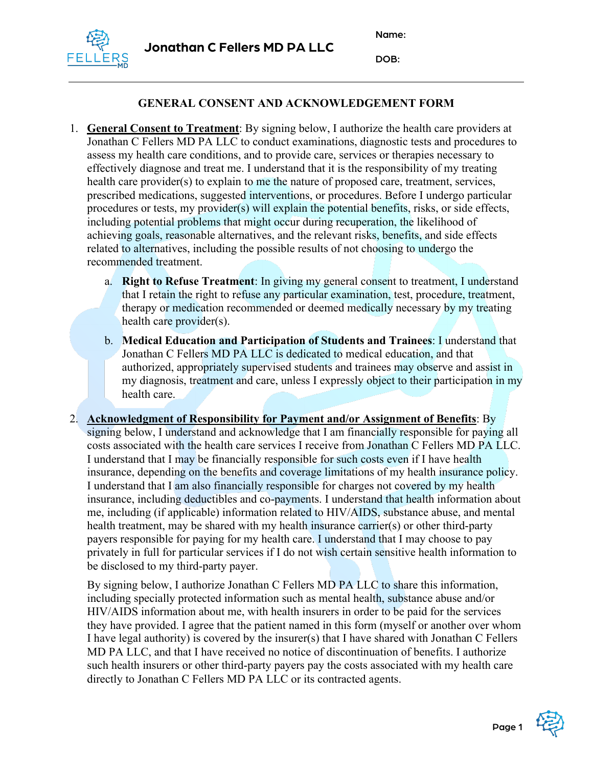Name:



DOB:

## **GENERAL CONSENT AND ACKNOWLEDGEMENT FORM**

- 1. **General Consent to Treatment**: By signing below, I authorize the health care providers at Jonathan C Fellers MD PA LLC to conduct examinations, diagnostic tests and procedures to assess my health care conditions, and to provide care, services or therapies necessary to effectively diagnose and treat me. I understand that it is the responsibility of my treating health care provider(s) to explain to me the nature of proposed care, treatment, services, prescribed medications, suggested interventions, or procedures. Before I undergo particular procedures or tests, my provider(s) will explain the potential benefits, risks, or side effects, including potential problems that might occur during recuperation, the likelihood of achieving goals, reasonable alternatives, and the relevant risks, benefits, and side effects related to alternatives, including the possible results of not choosing to undergo the recommended treatment.
	- a. **Right to Refuse Treatment**: In giving my general consent to treatment, I understand that I retain the right to refuse any particular examination, test, procedure, treatment, therapy or medication recommended or deemed medically necessary by my treating health care provider(s).
	- b. **Medical Education and Participation of Students and Trainees**: I understand that Jonathan C Fellers MD PA LLC is dedicated to medical education, and that authorized, appropriately supervised students and trainees may observe and assist in my diagnosis, treatment and care, unless I expressly object to their participation in my health care.
- 2. **Acknowledgment of Responsibility for Payment and/or Assignment of Benefits**: By signing below, I understand and acknowledge that I am financially responsible for paying all costs associated with the health care services I receive from Jonathan C Fellers MD PA LLC. I understand that I may be financially responsible for such costs even if I have health insurance, depending on the benefits and coverage limitations of my health insurance policy. I understand that I am also financially responsible for charges not covered by my health insurance, including deductibles and co-payments. I understand that health information about me, including (if applicable) information related to HIV/AIDS, substance abuse, and mental health treatment, may be shared with my health insurance carrier(s) or other third-party payers responsible for paying for my health care. I understand that I may choose to pay privately in full for particular services if I do not wish certain sensitive health information to be disclosed to my third-party payer.

By signing below, I authorize Jonathan C Fellers MD PA LLC to share this information, including specially protected information such as mental health, substance abuse and/or HIV/AIDS information about me, with health insurers in order to be paid for the services they have provided. I agree that the patient named in this form (myself or another over whom I have legal authority) is covered by the insurer(s) that I have shared with Jonathan C Fellers MD PA LLC, and that I have received no notice of discontinuation of benefits. I authorize such health insurers or other third-party payers pay the costs associated with my health care directly to Jonathan C Fellers MD PA LLC or its contracted agents.